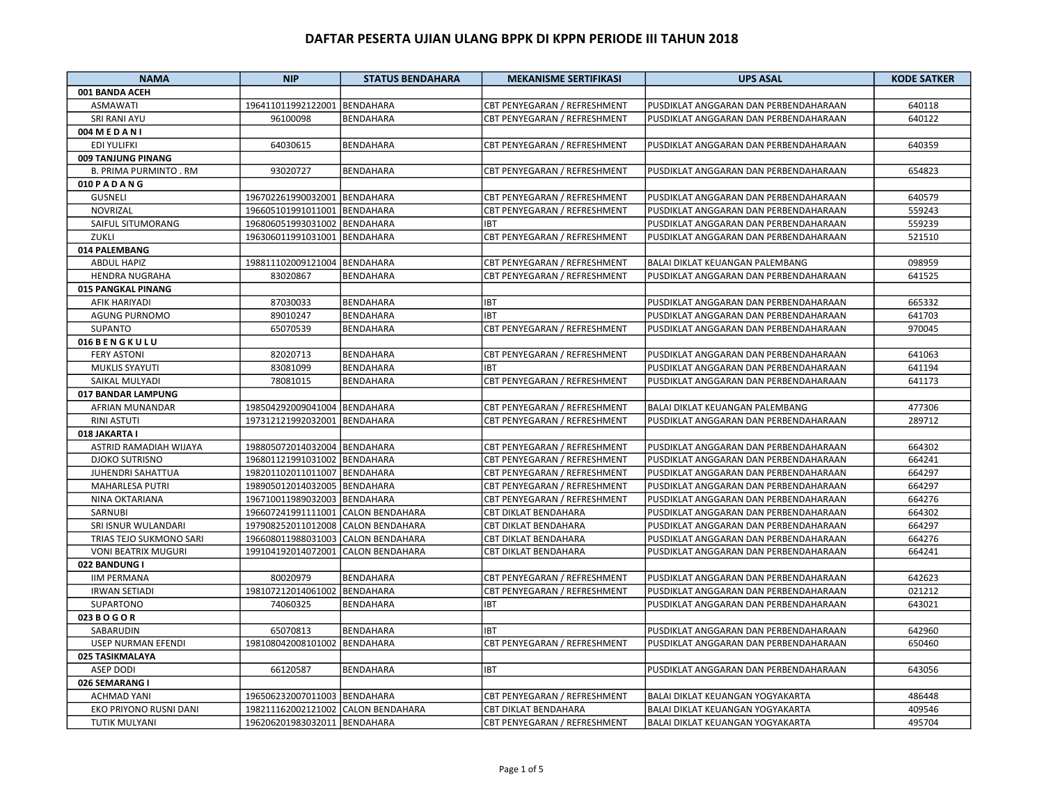| <b>NAMA</b>                   | <b>NIP</b>                         | <b>STATUS BENDAHARA</b> | <b>MEKANISME SERTIFIKASI</b> | <b>UPS ASAL</b>                       | <b>KODE SATKER</b> |
|-------------------------------|------------------------------------|-------------------------|------------------------------|---------------------------------------|--------------------|
| 001 BANDA ACEH                |                                    |                         |                              |                                       |                    |
| <b>ASMAWATI</b>               | 196411011992122001 BENDAHARA       |                         | CBT PENYEGARAN / REFRESHMENT | PUSDIKLAT ANGGARAN DAN PERBENDAHARAAN | 640118             |
| <b>SRI RANI AYU</b>           | 96100098                           | <b>BENDAHARA</b>        | CBT PENYEGARAN / REFRESHMENT | PUSDIKLAT ANGGARAN DAN PERBENDAHARAAN | 640122             |
| 004 MEDANI                    |                                    |                         |                              |                                       |                    |
| <b>EDI YULIFKI</b>            | 64030615                           | <b>BENDAHARA</b>        | CBT PENYEGARAN / REFRESHMENT | PUSDIKLAT ANGGARAN DAN PERBENDAHARAAN | 640359             |
| 009 TANJUNG PINANG            |                                    |                         |                              |                                       |                    |
| <b>B. PRIMA PURMINTO . RM</b> | 93020727                           | BENDAHARA               | CBT PENYEGARAN / REFRESHMENT | PUSDIKLAT ANGGARAN DAN PERBENDAHARAAN | 654823             |
| 010 PADANG                    |                                    |                         |                              |                                       |                    |
| <b>GUSNELI</b>                | 196702261990032001 BENDAHARA       |                         | CBT PENYEGARAN / REFRESHMENT | PUSDIKLAT ANGGARAN DAN PERBENDAHARAAN | 640579             |
| NOVRIZAL                      | 196605101991011001                 | <b>BENDAHARA</b>        | CBT PENYEGARAN / REFRESHMENT | PUSDIKLAT ANGGARAN DAN PERBENDAHARAAN | 559243             |
| SAIFUL SITUMORANG             | 196806051993031002                 | <b>BENDAHARA</b>        | <b>IBT</b>                   | PUSDIKLAT ANGGARAN DAN PERBENDAHARAAN | 559239             |
| ZUKLI                         | 196306011991031001                 | <b>BENDAHARA</b>        | CBT PENYEGARAN / REFRESHMENT | PUSDIKLAT ANGGARAN DAN PERBENDAHARAAN | 521510             |
| 014 PALEMBANG                 |                                    |                         |                              |                                       |                    |
| <b>ABDUL HAPIZ</b>            | 198811102009121004                 | <b>BENDAHARA</b>        | CBT PENYEGARAN / REFRESHMENT | BALAI DIKLAT KEUANGAN PALEMBANG       | 098959             |
| <b>HENDRA NUGRAHA</b>         | 83020867                           | <b>BENDAHARA</b>        | CBT PENYEGARAN / REFRESHMENT | PUSDIKLAT ANGGARAN DAN PERBENDAHARAAN | 641525             |
| 015 PANGKAL PINANG            |                                    |                         |                              |                                       |                    |
| AFIK HARIYADI                 | 87030033                           | BENDAHARA               | <b>IBT</b>                   | PUSDIKLAT ANGGARAN DAN PERBENDAHARAAN | 665332             |
| <b>AGUNG PURNOMO</b>          | 89010247                           | <b>BENDAHARA</b>        | <b>IBT</b>                   | PUSDIKLAT ANGGARAN DAN PERBENDAHARAAN | 641703             |
| <b>SUPANTO</b>                | 65070539                           | <b>BENDAHARA</b>        | CBT PENYEGARAN / REFRESHMENT | PUSDIKLAT ANGGARAN DAN PERBENDAHARAAN | 970045             |
| 016 BENGKULU                  |                                    |                         |                              |                                       |                    |
| <b>FERY ASTONI</b>            | 82020713                           | <b>BENDAHARA</b>        | CBT PENYEGARAN / REFRESHMENT | PUSDIKLAT ANGGARAN DAN PERBENDAHARAAN | 641063             |
| MUKLIS SYAYUTI                | 83081099                           | <b>BENDAHARA</b>        | <b>IBT</b>                   |                                       | 641194             |
|                               |                                    |                         |                              | PUSDIKLAT ANGGARAN DAN PERBENDAHARAAN |                    |
| SAIKAL MULYADI                | 78081015                           | <b>BENDAHARA</b>        | CBT PENYEGARAN / REFRESHMENT | PUSDIKLAT ANGGARAN DAN PERBENDAHARAAN | 641173             |
| 017 BANDAR LAMPUNG            |                                    |                         |                              |                                       |                    |
| AFRIAN MUNANDAR               | 198504292009041004                 | <b>BENDAHARA</b>        | CBT PENYEGARAN / REFRESHMENT | BALAI DIKLAT KEUANGAN PALEMBANG       | 477306             |
| <b>RINI ASTUTI</b>            | 197312121992032001                 | <b>BENDAHARA</b>        | CBT PENYEGARAN / REFRESHMENT | PUSDIKLAT ANGGARAN DAN PERBENDAHARAAN | 289712             |
| 018 JAKARTA I                 |                                    |                         |                              |                                       |                    |
| ASTRID RAMADIAH WIJAYA        | 198805072014032004 BENDAHARA       |                         | CBT PENYEGARAN / REFRESHMENT | PUSDIKLAT ANGGARAN DAN PERBENDAHARAAN | 664302             |
| <b>DJOKO SUTRISNO</b>         | 196801121991031002                 | <b>BENDAHARA</b>        | CBT PENYEGARAN / REFRESHMENT | PUSDIKLAT ANGGARAN DAN PERBENDAHARAAN | 664241             |
| JUHENDRI SAHATTUA             | 198201102011011007 BENDAHARA       |                         | CBT PENYEGARAN / REFRESHMENT | PUSDIKLAT ANGGARAN DAN PERBENDAHARAAN | 664297             |
| <b>MAHARLESA PUTRI</b>        | 198905012014032005                 | <b>BENDAHARA</b>        | CBT PENYEGARAN / REFRESHMENT | PUSDIKLAT ANGGARAN DAN PERBENDAHARAAN | 664297             |
| NINA OKTARIANA                | 196710011989032003                 | <b>BENDAHARA</b>        | CBT PENYEGARAN / REFRESHMENT | PUSDIKLAT ANGGARAN DAN PERBENDAHARAAN | 664276             |
| SARNUBI                       | 196607241991111001                 | <b>CALON BENDAHARA</b>  | CBT DIKLAT BENDAHARA         | PUSDIKLAT ANGGARAN DAN PERBENDAHARAAN | 664302             |
| SRI ISNUR WULANDARI           | 197908252011012008                 | <b>CALON BENDAHARA</b>  | CBT DIKLAT BENDAHARA         | PUSDIKLAT ANGGARAN DAN PERBENDAHARAAN | 664297             |
| TRIAS TEJO SUKMONO SARI       | 196608011988031003                 | <b>CALON BENDAHARA</b>  | CBT DIKLAT BENDAHARA         | PUSDIKLAT ANGGARAN DAN PERBENDAHARAAN | 664276             |
| <b>VONI BEATRIX MUGURI</b>    | 199104192014072001                 | <b>CALON BENDAHARA</b>  | <b>CBT DIKLAT BENDAHARA</b>  | PUSDIKLAT ANGGARAN DAN PERBENDAHARAAN | 664241             |
| 022 BANDUNG I                 |                                    |                         |                              |                                       |                    |
| <b>IIM PERMANA</b>            | 80020979                           | <b>BENDAHARA</b>        | CBT PENYEGARAN / REFRESHMENT | PUSDIKLAT ANGGARAN DAN PERBENDAHARAAN | 642623             |
| <b>IRWAN SETIADI</b>          | 198107212014061002                 | <b>BENDAHARA</b>        | CBT PENYEGARAN / REFRESHMENT | PUSDIKLAT ANGGARAN DAN PERBENDAHARAAN | 021212             |
| SUPARTONO                     | 74060325                           | <b>BENDAHARA</b>        | <b>IBT</b>                   | PUSDIKLAT ANGGARAN DAN PERBENDAHARAAN | 643021             |
| 023 B O G O R                 |                                    |                         |                              |                                       |                    |
| SABARUDIN                     | 65070813                           | <b>BENDAHARA</b>        | <b>IBT</b>                   | PUSDIKLAT ANGGARAN DAN PERBENDAHARAAN | 642960             |
| USEP NURMAN EFENDI            | 198108042008101002 BENDAHARA       |                         | CBT PENYEGARAN / REFRESHMENT | PUSDIKLAT ANGGARAN DAN PERBENDAHARAAN | 650460             |
| 025 TASIKMALAYA               |                                    |                         |                              |                                       |                    |
| <b>ASEP DODI</b>              | 66120587                           | <b>BENDAHARA</b>        | <b>IBT</b>                   | PUSDIKLAT ANGGARAN DAN PERBENDAHARAAN | 643056             |
| 026 SEMARANG I                |                                    |                         |                              |                                       |                    |
| <b>ACHMAD YANI</b>            | 196506232007011003 BENDAHARA       |                         | CBT PENYEGARAN / REFRESHMENT | BALAI DIKLAT KEUANGAN YOGYAKARTA      | 486448             |
| EKO PRIYONO RUSNI DANI        | 198211162002121002 CALON BENDAHARA |                         | CBT DIKLAT BENDAHARA         | BALAI DIKLAT KEUANGAN YOGYAKARTA      | 409546             |
| TUTIK MULYANI                 | 196206201983032011 BENDAHARA       |                         | CBT PENYEGARAN / REFRESHMENT | BALAI DIKLAT KEUANGAN YOGYAKARTA      | 495704             |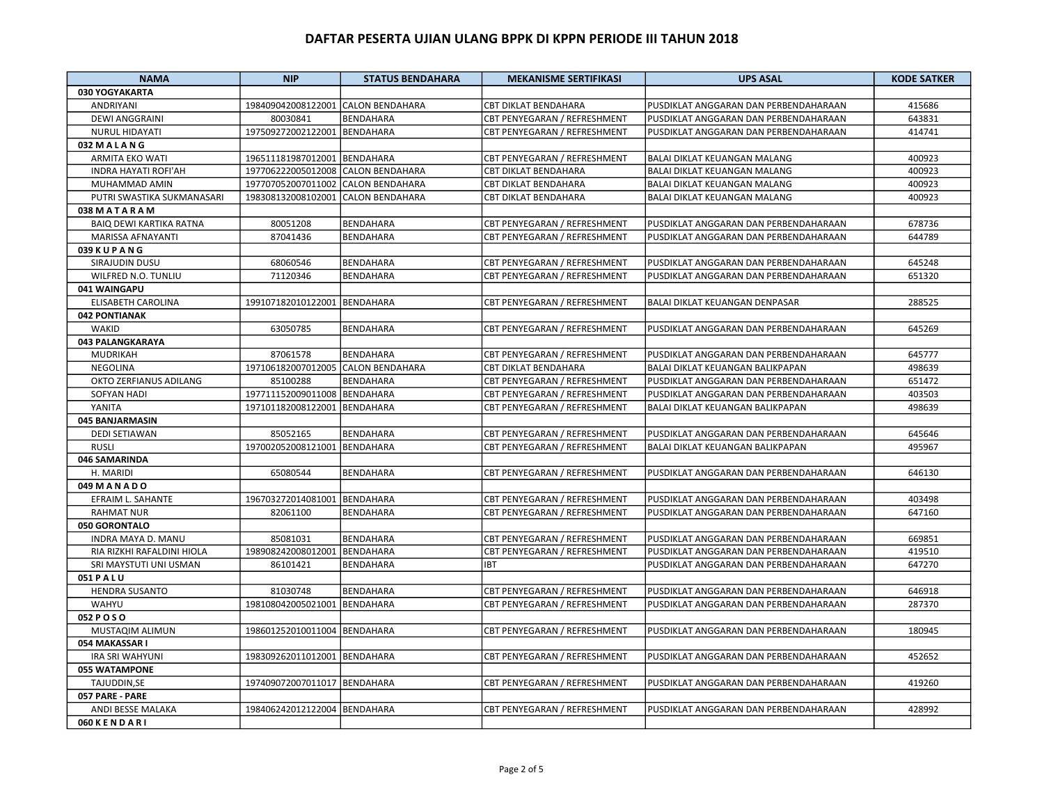| 030 YOGYAKARTA<br><b>CALON BENDAHARA</b><br>415686<br>198409042008122001<br><b>CBT DIKLAT BENDAHARA</b><br>PUSDIKLAT ANGGARAN DAN PERBENDAHARAAN<br>ANDRIYANI<br><b>DEWI ANGGRAINI</b><br><b>BENDAHARA</b><br>CBT PENYEGARAN / REFRESHMENT<br>PUSDIKLAT ANGGARAN DAN PERBENDAHARAAN<br>643831<br>80030841<br>197509272002122001<br><b>BENDAHARA</b><br>CBT PENYEGARAN / REFRESHMENT<br>414741<br><b>NURUL HIDAYATI</b><br>PUSDIKLAT ANGGARAN DAN PERBENDAHARAAN<br>032 M A L A N G<br><b>ARMITA EKO WATI</b><br>196511181987012001<br><b>BENDAHARA</b><br>CBT PENYEGARAN / REFRESHMENT<br>BALAI DIKLAT KEUANGAN MALANG<br>400923<br><b>INDRA HAYATI ROFI'AH</b><br>197706222005012008<br><b>CALON BENDAHARA</b><br><b>CBT DIKLAT BENDAHARA</b><br><b>BALAI DIKLAT KEUANGAN MALANG</b><br>400923 |
|-------------------------------------------------------------------------------------------------------------------------------------------------------------------------------------------------------------------------------------------------------------------------------------------------------------------------------------------------------------------------------------------------------------------------------------------------------------------------------------------------------------------------------------------------------------------------------------------------------------------------------------------------------------------------------------------------------------------------------------------------------------------------------------------------|
|                                                                                                                                                                                                                                                                                                                                                                                                                                                                                                                                                                                                                                                                                                                                                                                                 |
|                                                                                                                                                                                                                                                                                                                                                                                                                                                                                                                                                                                                                                                                                                                                                                                                 |
|                                                                                                                                                                                                                                                                                                                                                                                                                                                                                                                                                                                                                                                                                                                                                                                                 |
|                                                                                                                                                                                                                                                                                                                                                                                                                                                                                                                                                                                                                                                                                                                                                                                                 |
|                                                                                                                                                                                                                                                                                                                                                                                                                                                                                                                                                                                                                                                                                                                                                                                                 |
|                                                                                                                                                                                                                                                                                                                                                                                                                                                                                                                                                                                                                                                                                                                                                                                                 |
|                                                                                                                                                                                                                                                                                                                                                                                                                                                                                                                                                                                                                                                                                                                                                                                                 |
| MUHAMMAD AMIN<br>197707052007011002<br><b>CALON BENDAHARA</b><br><b>CBT DIKLAT BENDAHARA</b><br><b>BALAI DIKLAT KEUANGAN MALANG</b><br>400923                                                                                                                                                                                                                                                                                                                                                                                                                                                                                                                                                                                                                                                   |
| PUTRI SWASTIKA SUKMANASARI<br>198308132008102001<br><b>CBT DIKLAT BENDAHARA</b><br><b>BALAI DIKLAT KEUANGAN MALANG</b><br>400923<br><b>CALON BENDAHARA</b>                                                                                                                                                                                                                                                                                                                                                                                                                                                                                                                                                                                                                                      |
| 038 MATARAM                                                                                                                                                                                                                                                                                                                                                                                                                                                                                                                                                                                                                                                                                                                                                                                     |
| <b>BAIQ DEWI KARTIKA RATNA</b><br>80051208<br><b>BENDAHARA</b><br>CBT PENYEGARAN / REFRESHMENT<br>PUSDIKLAT ANGGARAN DAN PERBENDAHARAAN<br>678736                                                                                                                                                                                                                                                                                                                                                                                                                                                                                                                                                                                                                                               |
| MARISSA AFNAYANTI<br>87041436<br><b>BENDAHARA</b><br>CBT PENYEGARAN / REFRESHMENT<br>PUSDIKLAT ANGGARAN DAN PERBENDAHARAAN<br>644789                                                                                                                                                                                                                                                                                                                                                                                                                                                                                                                                                                                                                                                            |
| 039 K U P A N G                                                                                                                                                                                                                                                                                                                                                                                                                                                                                                                                                                                                                                                                                                                                                                                 |
| SIRAJUDIN DUSU<br>68060546<br><b>BENDAHARA</b><br>CBT PENYEGARAN / REFRESHMENT<br>PUSDIKLAT ANGGARAN DAN PERBENDAHARAAN<br>645248                                                                                                                                                                                                                                                                                                                                                                                                                                                                                                                                                                                                                                                               |
| WILFRED N.O. TUNLIU<br>71120346<br><b>BENDAHARA</b><br>CBT PENYEGARAN / REFRESHMENT<br>PUSDIKLAT ANGGARAN DAN PERBENDAHARAAN<br>651320                                                                                                                                                                                                                                                                                                                                                                                                                                                                                                                                                                                                                                                          |
| 041 WAINGAPU                                                                                                                                                                                                                                                                                                                                                                                                                                                                                                                                                                                                                                                                                                                                                                                    |
| 199107182010122001<br><b>BENDAHARA</b><br>CBT PENYEGARAN / REFRESHMENT<br>BALAI DIKLAT KEUANGAN DENPASAR<br>ELISABETH CAROLINA<br>288525                                                                                                                                                                                                                                                                                                                                                                                                                                                                                                                                                                                                                                                        |
| 042 PONTIANAK                                                                                                                                                                                                                                                                                                                                                                                                                                                                                                                                                                                                                                                                                                                                                                                   |
| WAKID<br>63050785<br><b>BENDAHARA</b><br>CBT PENYEGARAN / REFRESHMENT<br>PUSDIKLAT ANGGARAN DAN PERBENDAHARAAN<br>645269                                                                                                                                                                                                                                                                                                                                                                                                                                                                                                                                                                                                                                                                        |
| 043 PALANGKARAYA                                                                                                                                                                                                                                                                                                                                                                                                                                                                                                                                                                                                                                                                                                                                                                                |
| MUDRIKAH<br>87061578<br><b>BENDAHARA</b><br>CBT PENYEGARAN / REFRESHMENT<br>PUSDIKLAT ANGGARAN DAN PERBENDAHARAAN<br>645777                                                                                                                                                                                                                                                                                                                                                                                                                                                                                                                                                                                                                                                                     |
| NEGOLINA<br>197106182007012005<br><b>CALON BENDAHARA</b><br>CBT DIKLAT BENDAHARA<br>BALAI DIKLAT KEUANGAN BALIKPAPAN<br>498639                                                                                                                                                                                                                                                                                                                                                                                                                                                                                                                                                                                                                                                                  |
| OKTO ZERFIANUS ADILANG<br>85100288<br>BENDAHARA<br>CBT PENYEGARAN / REFRESHMENT<br>PUSDIKLAT ANGGARAN DAN PERBENDAHARAAN<br>651472                                                                                                                                                                                                                                                                                                                                                                                                                                                                                                                                                                                                                                                              |
| <b>SOFYAN HADI</b><br>197711152009011008<br><b>BENDAHARA</b><br>CBT PENYEGARAN / REFRESHMENT<br>PUSDIKLAT ANGGARAN DAN PERBENDAHARAAN<br>403503                                                                                                                                                                                                                                                                                                                                                                                                                                                                                                                                                                                                                                                 |
| YANITA<br>197101182008122001<br>CBT PENYEGARAN / REFRESHMENT<br>498639<br><b>BENDAHARA</b><br>BALAI DIKLAT KEUANGAN BALIKPAPAN                                                                                                                                                                                                                                                                                                                                                                                                                                                                                                                                                                                                                                                                  |
| 045 BANJARMASIN                                                                                                                                                                                                                                                                                                                                                                                                                                                                                                                                                                                                                                                                                                                                                                                 |
| 85052165<br><b>BENDAHARA</b><br>CBT PENYEGARAN / REFRESHMENT<br>PUSDIKLAT ANGGARAN DAN PERBENDAHARAAN<br>645646<br><b>DEDI SETIAWAN</b>                                                                                                                                                                                                                                                                                                                                                                                                                                                                                                                                                                                                                                                         |
| 197002052008121001<br><b>RUSLI</b><br><b>BENDAHARA</b><br>CBT PENYEGARAN / REFRESHMENT<br><b>BALAI DIKLAT KEUANGAN BALIKPAPAN</b><br>495967                                                                                                                                                                                                                                                                                                                                                                                                                                                                                                                                                                                                                                                     |
| 046 SAMARINDA                                                                                                                                                                                                                                                                                                                                                                                                                                                                                                                                                                                                                                                                                                                                                                                   |
| 65080544<br>CBT PENYEGARAN / REFRESHMENT<br>646130<br>H. MARIDI<br><b>BENDAHARA</b><br>PUSDIKLAT ANGGARAN DAN PERBENDAHARAAN                                                                                                                                                                                                                                                                                                                                                                                                                                                                                                                                                                                                                                                                    |
| 049 M A N A D O                                                                                                                                                                                                                                                                                                                                                                                                                                                                                                                                                                                                                                                                                                                                                                                 |
| EFRAIM L. SAHANTE<br>196703272014081001 BENDAHARA<br>CBT PENYEGARAN / REFRESHMENT<br>PUSDIKLAT ANGGARAN DAN PERBENDAHARAAN<br>403498                                                                                                                                                                                                                                                                                                                                                                                                                                                                                                                                                                                                                                                            |
| 647160<br><b>RAHMAT NUR</b><br>82061100<br><b>BENDAHARA</b><br>CBT PENYEGARAN / REFRESHMENT<br>PUSDIKLAT ANGGARAN DAN PERBENDAHARAAN                                                                                                                                                                                                                                                                                                                                                                                                                                                                                                                                                                                                                                                            |
| 050 GORONTALO                                                                                                                                                                                                                                                                                                                                                                                                                                                                                                                                                                                                                                                                                                                                                                                   |
| 85081031<br><b>BENDAHARA</b><br>CBT PENYEGARAN / REFRESHMENT<br>669851<br>INDRA MAYA D. MANU<br>PUSDIKLAT ANGGARAN DAN PERBENDAHARAAN                                                                                                                                                                                                                                                                                                                                                                                                                                                                                                                                                                                                                                                           |
| 198908242008012001<br>419510<br>RIA RIZKHI RAFALDINI HIOLA<br>BENDAHARA<br>CBT PENYEGARAN / REFRESHMENT<br>PUSDIKLAT ANGGARAN DAN PERBENDAHARAAN                                                                                                                                                                                                                                                                                                                                                                                                                                                                                                                                                                                                                                                |
| SRI MAYSTUTI UNI USMAN<br>647270<br>86101421<br>BENDAHARA<br><b>IBT</b><br>PUSDIKLAT ANGGARAN DAN PERBENDAHARAAN                                                                                                                                                                                                                                                                                                                                                                                                                                                                                                                                                                                                                                                                                |
| 051 PALU                                                                                                                                                                                                                                                                                                                                                                                                                                                                                                                                                                                                                                                                                                                                                                                        |
| <b>HENDRA SUSANTO</b><br>81030748<br><b>BENDAHARA</b><br>CBT PENYEGARAN / REFRESHMENT<br>PUSDIKLAT ANGGARAN DAN PERBENDAHARAAN<br>646918                                                                                                                                                                                                                                                                                                                                                                                                                                                                                                                                                                                                                                                        |
| WAHYU<br>198108042005021001<br>CBT PENYEGARAN / REFRESHMENT<br>287370<br><b>BENDAHARA</b><br>PUSDIKLAT ANGGARAN DAN PERBENDAHARAAN                                                                                                                                                                                                                                                                                                                                                                                                                                                                                                                                                                                                                                                              |
| 052 P O S O                                                                                                                                                                                                                                                                                                                                                                                                                                                                                                                                                                                                                                                                                                                                                                                     |
| 198601252010011004 BENDAHARA<br>MUSTAQIM ALIMUN<br>CBT PENYEGARAN / REFRESHMENT<br>PUSDIKLAT ANGGARAN DAN PERBENDAHARAAN<br>180945                                                                                                                                                                                                                                                                                                                                                                                                                                                                                                                                                                                                                                                              |
| 054 MAKASSAR I                                                                                                                                                                                                                                                                                                                                                                                                                                                                                                                                                                                                                                                                                                                                                                                  |
| 198309262011012001<br><b>BENDAHARA</b><br>CBT PENYEGARAN / REFRESHMENT<br>PUSDIKLAT ANGGARAN DAN PERBENDAHARAAN<br>452652<br><b>IRA SRI WAHYUNI</b>                                                                                                                                                                                                                                                                                                                                                                                                                                                                                                                                                                                                                                             |
| 055 WATAMPONE                                                                                                                                                                                                                                                                                                                                                                                                                                                                                                                                                                                                                                                                                                                                                                                   |
| TAJUDDIN, SE<br>197409072007011017<br><b>BENDAHARA</b><br>CBT PENYEGARAN / REFRESHMENT<br>PUSDIKLAT ANGGARAN DAN PERBENDAHARAAN<br>419260                                                                                                                                                                                                                                                                                                                                                                                                                                                                                                                                                                                                                                                       |
| 057 PARE - PARE                                                                                                                                                                                                                                                                                                                                                                                                                                                                                                                                                                                                                                                                                                                                                                                 |
| ANDI BESSE MALAKA<br>198406242012122004<br><b>BENDAHARA</b><br>CBT PENYEGARAN / REFRESHMENT<br>PUSDIKLAT ANGGARAN DAN PERBENDAHARAAN<br>428992                                                                                                                                                                                                                                                                                                                                                                                                                                                                                                                                                                                                                                                  |
| 060 KENDARI                                                                                                                                                                                                                                                                                                                                                                                                                                                                                                                                                                                                                                                                                                                                                                                     |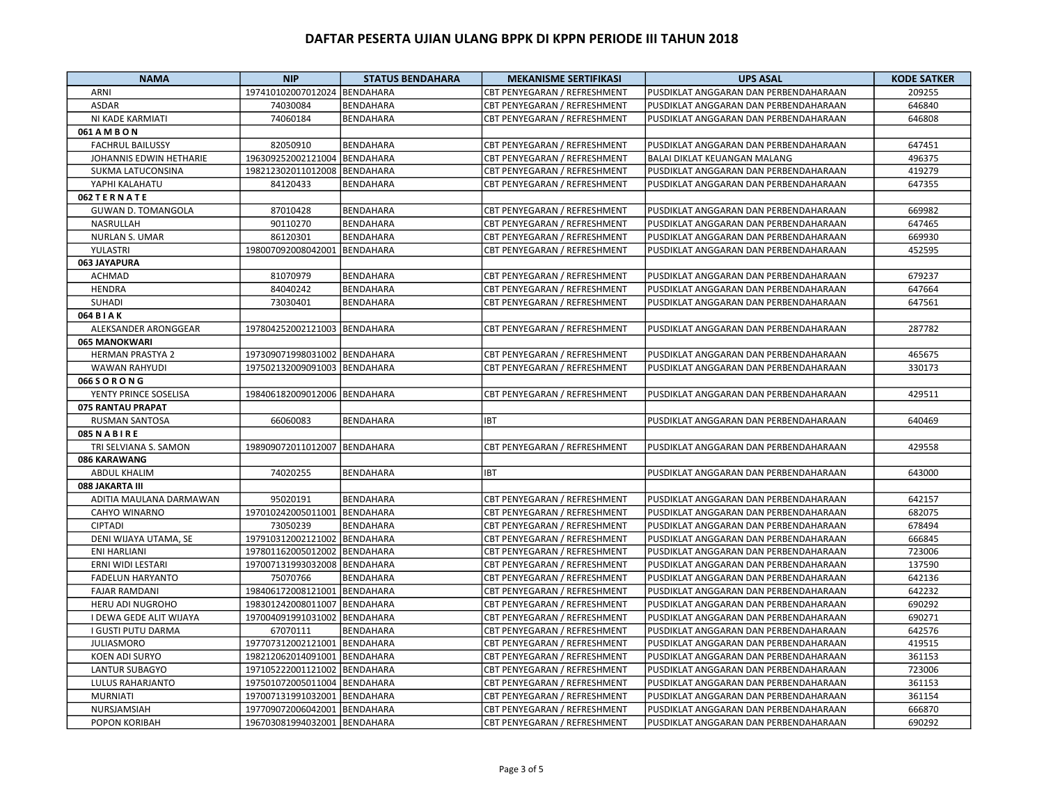| <b>NAMA</b>               | <b>NIP</b>                   | <b>STATUS BENDAHARA</b> | <b>MEKANISME SERTIFIKASI</b> | <b>UPS ASAL</b>                       | <b>KODE SATKER</b> |
|---------------------------|------------------------------|-------------------------|------------------------------|---------------------------------------|--------------------|
| ARNI                      | 197410102007012024 BENDAHARA |                         | CBT PENYEGARAN / REFRESHMENT | PUSDIKLAT ANGGARAN DAN PERBENDAHARAAN | 209255             |
| <b>ASDAR</b>              | 74030084                     | <b>BENDAHARA</b>        | CBT PENYEGARAN / REFRESHMENT | PUSDIKLAT ANGGARAN DAN PERBENDAHARAAN | 646840             |
| NI KADE KARMIATI          | 74060184                     | <b>BENDAHARA</b>        | CBT PENYEGARAN / REFRESHMENT | PUSDIKLAT ANGGARAN DAN PERBENDAHARAAN | 646808             |
| 061 A M B O N             |                              |                         |                              |                                       |                    |
| <b>FACHRUL BAILUSSY</b>   | 82050910                     | <b>BENDAHARA</b>        | CBT PENYEGARAN / REFRESHMENT | PUSDIKLAT ANGGARAN DAN PERBENDAHARAAN | 647451             |
| JOHANNIS EDWIN HETHARIE   | 196309252002121004           | <b>BENDAHARA</b>        | CBT PENYEGARAN / REFRESHMENT | BALAI DIKLAT KEUANGAN MALANG          | 496375             |
| SUKMA LATUCONSINA         | 198212302011012008           | <b>BENDAHARA</b>        | CBT PENYEGARAN / REFRESHMENT | PUSDIKLAT ANGGARAN DAN PERBENDAHARAAN | 419279             |
| YAPHI KALAHATU            | 84120433                     | <b>BENDAHARA</b>        | CBT PENYEGARAN / REFRESHMENT | PUSDIKLAT ANGGARAN DAN PERBENDAHARAAN | 647355             |
| 062 TERNATE               |                              |                         |                              |                                       |                    |
| <b>GUWAN D. TOMANGOLA</b> | 87010428                     | <b>BENDAHARA</b>        | CBT PENYEGARAN / REFRESHMENT | PUSDIKLAT ANGGARAN DAN PERBENDAHARAAN | 669982             |
| NASRULLAH                 | 90110270                     | <b>BENDAHARA</b>        | CBT PENYEGARAN / REFRESHMENT | PUSDIKLAT ANGGARAN DAN PERBENDAHARAAN | 647465             |
| <b>NURLAN S. UMAR</b>     | 86120301                     | BENDAHARA               | CBT PENYEGARAN / REFRESHMENT | PUSDIKLAT ANGGARAN DAN PERBENDAHARAAN | 669930             |
| YULASTRI                  | 198007092008042001           | <b>BENDAHARA</b>        | CBT PENYEGARAN / REFRESHMENT | PUSDIKLAT ANGGARAN DAN PERBENDAHARAAN | 452595             |
| 063 JAYAPURA              |                              |                         |                              |                                       |                    |
| ACHMAD                    | 81070979                     | <b>BENDAHARA</b>        | CBT PENYEGARAN / REFRESHMENT | PUSDIKLAT ANGGARAN DAN PERBENDAHARAAN | 679237             |
| <b>HENDRA</b>             | 84040242                     | <b>BENDAHARA</b>        | CBT PENYEGARAN / REFRESHMENT | PUSDIKLAT ANGGARAN DAN PERBENDAHARAAN | 647664             |
| SUHADI                    | 73030401                     | <b>BENDAHARA</b>        | CBT PENYEGARAN / REFRESHMENT | PUSDIKLAT ANGGARAN DAN PERBENDAHARAAN | 647561             |
| 064 B I A K               |                              |                         |                              |                                       |                    |
| ALEKSANDER ARONGGEAR      | 197804252002121003 BENDAHARA |                         | CBT PENYEGARAN / REFRESHMENT | PUSDIKLAT ANGGARAN DAN PERBENDAHARAAN | 287782             |
| 065 MANOKWARI             |                              |                         |                              |                                       |                    |
| <b>HERMAN PRASTYA 2</b>   | 197309071998031002 BENDAHARA |                         | CBT PENYEGARAN / REFRESHMENT | PUSDIKLAT ANGGARAN DAN PERBENDAHARAAN | 465675             |
| <b>WAWAN RAHYUDI</b>      | 197502132009091003           | <b>BENDAHARA</b>        | CBT PENYEGARAN / REFRESHMENT | PUSDIKLAT ANGGARAN DAN PERBENDAHARAAN | 330173             |
| 066 S O R O N G           |                              |                         |                              |                                       |                    |
| YENTY PRINCE SOSELISA     | 198406182009012006 BENDAHARA |                         | CBT PENYEGARAN / REFRESHMENT | PUSDIKLAT ANGGARAN DAN PERBENDAHARAAN | 429511             |
| 075 RANTAU PRAPAT         |                              |                         |                              |                                       |                    |
|                           |                              |                         | <b>IBT</b>                   | PUSDIKLAT ANGGARAN DAN PERBENDAHARAAN |                    |
| RUSMAN SANTOSA            | 66060083                     | BENDAHARA               |                              |                                       | 640469             |
| <b>085 N A B I R E</b>    |                              |                         |                              |                                       |                    |
| TRI SELVIANA S. SAMON     | 198909072011012007 BENDAHARA |                         | CBT PENYEGARAN / REFRESHMENT | PUSDIKLAT ANGGARAN DAN PERBENDAHARAAN | 429558             |
| 086 KARAWANG              |                              |                         |                              |                                       |                    |
| <b>ABDUL KHALIM</b>       | 74020255                     | <b>BENDAHARA</b>        | <b>IBT</b>                   | PUSDIKLAT ANGGARAN DAN PERBENDAHARAAN | 643000             |
| 088 JAKARTA III           |                              |                         |                              |                                       |                    |
| ADITIA MAULANA DARMAWAN   | 95020191                     | BENDAHARA               | CBT PENYEGARAN / REFRESHMENT | PUSDIKLAT ANGGARAN DAN PERBENDAHARAAN | 642157             |
| CAHYO WINARNO             | 197010242005011001           | <b>BENDAHARA</b>        | CBT PENYEGARAN / REFRESHMENT | PUSDIKLAT ANGGARAN DAN PERBENDAHARAAN | 682075             |
| <b>CIPTADI</b>            | 73050239                     | BENDAHARA               | CBT PENYEGARAN / REFRESHMENT | PUSDIKLAT ANGGARAN DAN PERBENDAHARAAN | 678494             |
| DENI WIJAYA UTAMA, SE     | 197910312002121002           | <b>BENDAHARA</b>        | CBT PENYEGARAN / REFRESHMENT | PUSDIKLAT ANGGARAN DAN PERBENDAHARAAN | 666845             |
| <b>ENI HARLIANI</b>       | 197801162005012002           | <b>BENDAHARA</b>        | CBT PENYEGARAN / REFRESHMENT | PUSDIKLAT ANGGARAN DAN PERBENDAHARAAN | 723006             |
| ERNI WIDI LESTARI         | 197007131993032008           | <b>BENDAHARA</b>        | CBT PENYEGARAN / REFRESHMENT | PUSDIKLAT ANGGARAN DAN PERBENDAHARAAN | 137590             |
| <b>FADELUN HARYANTO</b>   | 75070766                     | <b>BENDAHARA</b>        | CBT PENYEGARAN / REFRESHMENT | PUSDIKLAT ANGGARAN DAN PERBENDAHARAAN | 642136             |
| <b>FAJAR RAMDANI</b>      | 198406172008121001           | <b>BENDAHARA</b>        | CBT PENYEGARAN / REFRESHMENT | PUSDIKLAT ANGGARAN DAN PERBENDAHARAAN | 642232             |
| <b>HERU ADI NUGROHO</b>   | 198301242008011007           | <b>BENDAHARA</b>        | CBT PENYEGARAN / REFRESHMENT | PUSDIKLAT ANGGARAN DAN PERBENDAHARAAN | 690292             |
| I DEWA GEDE ALIT WIJAYA   | 197004091991031002           | <b>BENDAHARA</b>        | CBT PENYEGARAN / REFRESHMENT | PUSDIKLAT ANGGARAN DAN PERBENDAHARAAN | 690271             |
| I GUSTI PUTU DARMA        | 67070111                     | BENDAHARA               | CBT PENYEGARAN / REFRESHMENT | PUSDIKLAT ANGGARAN DAN PERBENDAHARAAN | 642576             |
| <b>JULIASMORO</b>         | 197707312002121001 BENDAHARA |                         | CBT PENYEGARAN / REFRESHMENT | PUSDIKLAT ANGGARAN DAN PERBENDAHARAAN | 419515             |
| KOEN ADI SURYO            | 198212062014091001           | <b>BENDAHARA</b>        | CBT PENYEGARAN / REFRESHMENT | PUSDIKLAT ANGGARAN DAN PERBENDAHARAAN | 361153             |
| <b>LANTUR SUBAGYO</b>     | 197105222001121002           | <b>BENDAHARA</b>        | CBT PENYEGARAN / REFRESHMENT | PUSDIKLAT ANGGARAN DAN PERBENDAHARAAN | 723006             |
| <b>LULUS RAHARJANTO</b>   | 197501072005011004 BENDAHARA |                         | CBT PENYEGARAN / REFRESHMENT | PUSDIKLAT ANGGARAN DAN PERBENDAHARAAN | 361153             |
| <b>MURNIATI</b>           | 197007131991032001           | <b>BENDAHARA</b>        | CBT PENYEGARAN / REFRESHMENT | PUSDIKLAT ANGGARAN DAN PERBENDAHARAAN | 361154             |
| NURSJAMSIAH               | 197709072006042001 BENDAHARA |                         | CBT PENYEGARAN / REFRESHMENT | PUSDIKLAT ANGGARAN DAN PERBENDAHARAAN | 666870             |
| POPON KORIBAH             | 196703081994032001 BENDAHARA |                         | CBT PENYEGARAN / REFRESHMENT | PUSDIKLAT ANGGARAN DAN PERBENDAHARAAN | 690292             |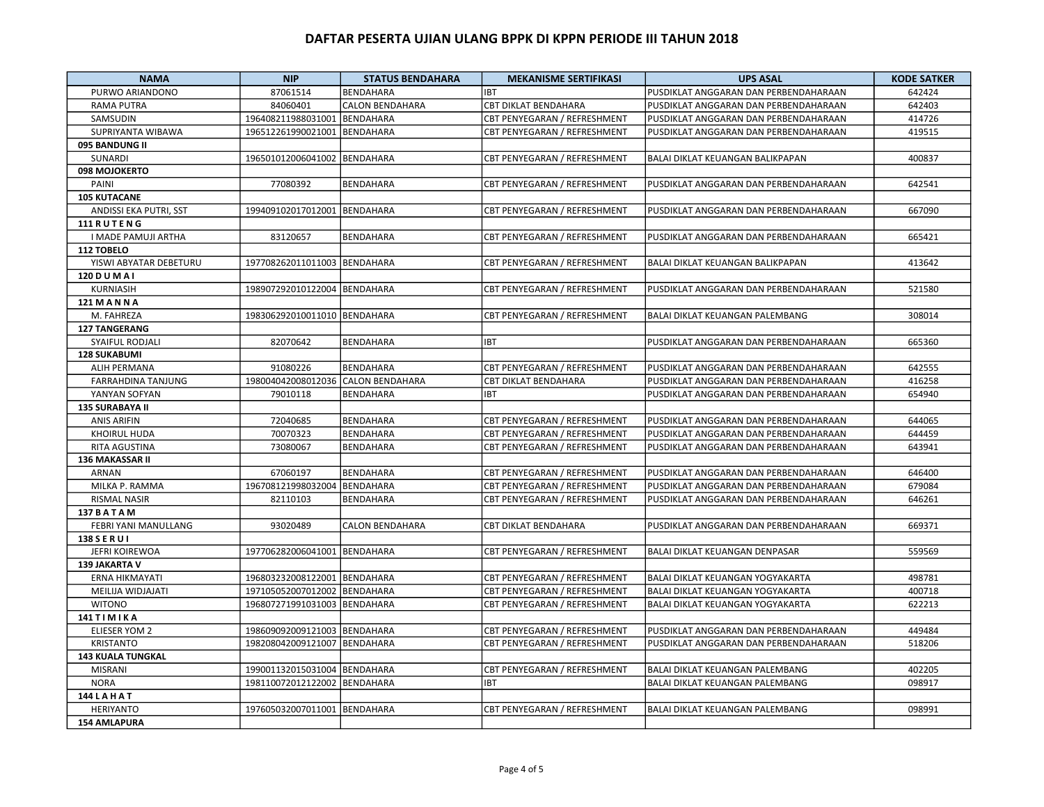| <b>NAMA</b>               | <b>NIP</b>                         | <b>STATUS BENDAHARA</b> | <b>MEKANISME SERTIFIKASI</b> | <b>UPS ASAL</b>                         | <b>KODE SATKER</b> |
|---------------------------|------------------------------------|-------------------------|------------------------------|-----------------------------------------|--------------------|
| PURWO ARIANDONO           | 87061514                           | BENDAHARA               | <b>IBT</b>                   | PUSDIKLAT ANGGARAN DAN PERBENDAHARAAN   | 642424             |
| <b>RAMA PUTRA</b>         | 84060401                           | <b>CALON BENDAHARA</b>  | <b>CBT DIKLAT BENDAHARA</b>  | PUSDIKLAT ANGGARAN DAN PERBENDAHARAAN   | 642403             |
| SAMSUDIN                  | 196408211988031001                 | <b>BENDAHARA</b>        | CBT PENYEGARAN / REFRESHMENT | PUSDIKLAT ANGGARAN DAN PERBENDAHARAAN   | 414726             |
| SUPRIYANTA WIBAWA         | 196512261990021001                 | <b>BENDAHARA</b>        | CBT PENYEGARAN / REFRESHMENT | PUSDIKLAT ANGGARAN DAN PERBENDAHARAAN   | 419515             |
| 095 BANDUNG II            |                                    |                         |                              |                                         |                    |
| SUNARDI                   | 196501012006041002                 | <b>BENDAHARA</b>        | CBT PENYEGARAN / REFRESHMENT | BALAI DIKLAT KEUANGAN BALIKPAPAN        | 400837             |
| 098 MOJOKERTO             |                                    |                         |                              |                                         |                    |
| PAINI                     | 77080392                           | <b>BENDAHARA</b>        | CBT PENYEGARAN / REFRESHMENT | PUSDIKLAT ANGGARAN DAN PERBENDAHARAAN   | 642541             |
| <b>105 KUTACANE</b>       |                                    |                         |                              |                                         |                    |
| ANDISSI EKA PUTRI, SST    | 199409102017012001                 | <b>BENDAHARA</b>        | CBT PENYEGARAN / REFRESHMENT | PUSDIKLAT ANGGARAN DAN PERBENDAHARAAN   | 667090             |
| 111 RUTENG                |                                    |                         |                              |                                         |                    |
| I MADE PAMUJI ARTHA       | 83120657                           | <b>BENDAHARA</b>        | CBT PENYEGARAN / REFRESHMENT | PUSDIKLAT ANGGARAN DAN PERBENDAHARAAN   | 665421             |
| 112 TOBELO                |                                    |                         |                              |                                         |                    |
| YISWI ABYATAR DEBETURU    | 197708262011011003                 | <b>BENDAHARA</b>        | CBT PENYEGARAN / REFRESHMENT | BALAI DIKLAT KEUANGAN BALIKPAPAN        | 413642             |
| 120 D U M A I             |                                    |                         |                              |                                         |                    |
| KURNIASIH                 | 198907292010122004                 | <b>BENDAHARA</b>        | CBT PENYEGARAN / REFRESHMENT | PUSDIKLAT ANGGARAN DAN PERBENDAHARAAN   | 521580             |
| 121 M A N N A             |                                    |                         |                              |                                         |                    |
| M. FAHREZA                | 198306292010011010 BENDAHARA       |                         | CBT PENYEGARAN / REFRESHMENT | BALAI DIKLAT KEUANGAN PALEMBANG         | 308014             |
| <b>127 TANGERANG</b>      |                                    |                         |                              |                                         |                    |
| SYAIFUL RODJALI           | 82070642                           | BENDAHARA               | <b>IBT</b>                   | PUSDIKLAT ANGGARAN DAN PERBENDAHARAAN   | 665360             |
| <b>128 SUKABUMI</b>       |                                    |                         |                              |                                         |                    |
| <b>ALIH PERMANA</b>       | 91080226                           | <b>BENDAHARA</b>        | CBT PENYEGARAN / REFRESHMENT | PUSDIKLAT ANGGARAN DAN PERBENDAHARAAN   | 642555             |
| <b>FARRAHDINA TANJUNG</b> | 198004042008012036 CALON BENDAHARA |                         | <b>CBT DIKLAT BENDAHARA</b>  | PUSDIKLAT ANGGARAN DAN PERBENDAHARAAN   | 416258             |
| YANYAN SOFYAN             | 79010118                           | <b>BENDAHARA</b>        | <b>IBT</b>                   | PUSDIKLAT ANGGARAN DAN PERBENDAHARAAN   | 654940             |
| 135 SURABAYA II           |                                    |                         |                              |                                         |                    |
| <b>ANIS ARIFIN</b>        | 72040685                           | <b>BENDAHARA</b>        | CBT PENYEGARAN / REFRESHMENT | PUSDIKLAT ANGGARAN DAN PERBENDAHARAAN   | 644065             |
| KHOIRUL HUDA              | 70070323                           | BENDAHARA               | CBT PENYEGARAN / REFRESHMENT | PUSDIKLAT ANGGARAN DAN PERBENDAHARAAN   | 644459             |
| RITA AGUSTINA             | 73080067                           | <b>BENDAHARA</b>        | CBT PENYEGARAN / REFRESHMENT | PUSDIKLAT ANGGARAN DAN PERBENDAHARAAN   | 643941             |
| <b>136 MAKASSAR II</b>    |                                    |                         |                              |                                         |                    |
| ARNAN                     | 67060197                           | <b>BENDAHARA</b>        | CBT PENYEGARAN / REFRESHMENT | PUSDIKLAT ANGGARAN DAN PERBENDAHARAAN   | 646400             |
| MILKA P. RAMMA            | 196708121998032004                 | <b>BENDAHARA</b>        | CBT PENYEGARAN / REFRESHMENT | PUSDIKLAT ANGGARAN DAN PERBENDAHARAAN   | 679084             |
| <b>RISMAL NASIR</b>       | 82110103                           | <b>BENDAHARA</b>        | CBT PENYEGARAN / REFRESHMENT | PUSDIKLAT ANGGARAN DAN PERBENDAHARAAN   | 646261             |
| <b>137 BATAM</b>          |                                    |                         |                              |                                         |                    |
| FEBRI YANI MANULLANG      | 93020489                           | <b>CALON BENDAHARA</b>  | CBT DIKLAT BENDAHARA         | PUSDIKLAT ANGGARAN DAN PERBENDAHARAAN   | 669371             |
| 138 S E R U I             |                                    |                         |                              |                                         |                    |
| <b>JEFRI KOIREWOA</b>     | 197706282006041001                 | <b>BENDAHARA</b>        | CBT PENYEGARAN / REFRESHMENT | BALAI DIKLAT KEUANGAN DENPASAR          | 559569             |
| 139 JAKARTA V             |                                    |                         |                              |                                         |                    |
| ERNA HIKMAYATI            | 196803232008122001                 | <b>BENDAHARA</b>        | CBT PENYEGARAN / REFRESHMENT | BALAI DIKLAT KEUANGAN YOGYAKARTA        | 498781             |
| MEILIJA WIDJAJATI         | 197105052007012002                 | <b>BENDAHARA</b>        | CBT PENYEGARAN / REFRESHMENT | <b>BALAI DIKLAT KEUANGAN YOGYAKARTA</b> | 400718             |
| <b>WITONO</b>             | 196807271991031003                 | <b>BENDAHARA</b>        | CBT PENYEGARAN / REFRESHMENT | BALAI DIKLAT KEUANGAN YOGYAKARTA        | 622213             |
| 141 T I M I K A           |                                    |                         |                              |                                         |                    |
| <b>ELIESER YOM 2</b>      | 198609092009121003                 | <b>BENDAHARA</b>        | CBT PENYEGARAN / REFRESHMENT | PUSDIKLAT ANGGARAN DAN PERBENDAHARAAN   | 449484             |
| <b>KRISTANTO</b>          | 198208042009121007                 | <b>BENDAHARA</b>        | CBT PENYEGARAN / REFRESHMENT | PUSDIKLAT ANGGARAN DAN PERBENDAHARAAN   | 518206             |
| <b>143 KUALA TUNGKAL</b>  |                                    |                         |                              |                                         |                    |
| <b>MISRANI</b>            | 199001132015031004                 | <b>BENDAHARA</b>        | CBT PENYEGARAN / REFRESHMENT | BALAI DIKLAT KEUANGAN PALEMBANG         | 402205             |
| <b>NORA</b>               | 198110072012122002                 | <b>BENDAHARA</b>        | <b>IBT</b>                   | BALAI DIKLAT KEUANGAN PALEMBANG         | 098917             |
| <b>144 LAHAT</b>          |                                    |                         |                              |                                         |                    |
| <b>HERIYANTO</b>          | 197605032007011001                 | <b>BENDAHARA</b>        | CBT PENYEGARAN / REFRESHMENT | <b>BALAI DIKLAT KEUANGAN PALEMBANG</b>  | 098991             |
| <b>154 AMLAPURA</b>       |                                    |                         |                              |                                         |                    |